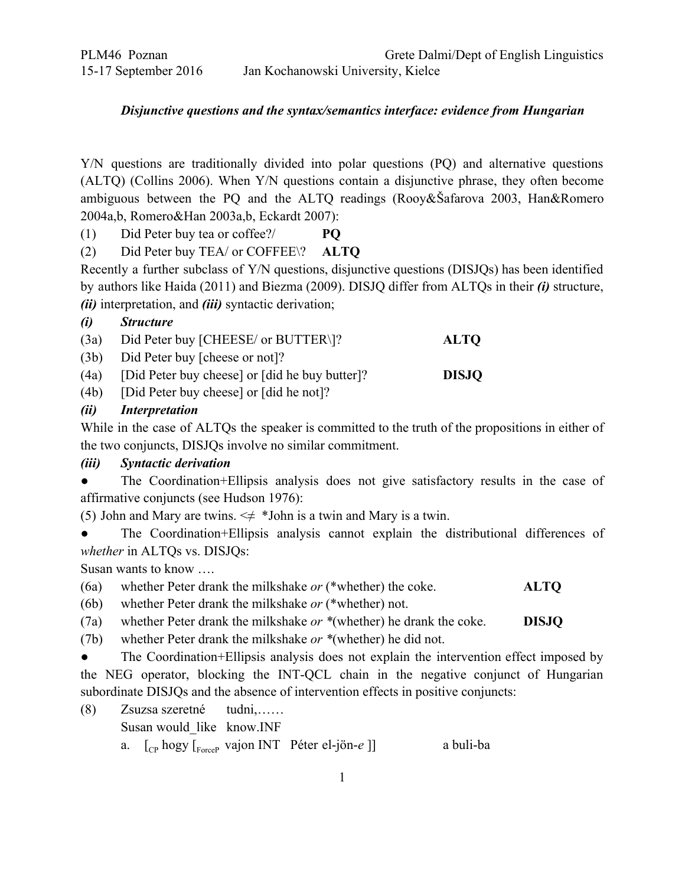# *Disjunctive questions and the syntax/semantics interface: evidence from Hungarian*

Y/N questions are traditionally divided into polar questions (PQ) and alternative questions (ALTQ) (Collins 2006). When Y/N questions contain a disjunctive phrase, they often become ambiguous between the PQ and the ALTQ readings (Rooy&Šafarova 2003, Han&Romero 2004a,b, Romero&Han 2003a,b, Eckardt 2007):

(1) Did Peter buy tea or coffee?/ **PQ**

(2) Did Peter buy TEA/ or COFFEE\? **ALTQ**

Recently a further subclass of Y/N questions, disjunctive questions (DISJQs) has been identified by authors like Haida (2011) and Biezma (2009). DISJQ differ from ALTQs in their *(i)* structure, *(ii)* interpretation, and *(iii)* syntactic derivation;

## *(i) Structure*

| (3a) | Did Peter buy [CHEESE/ or BUTTER\]?                 | <b>ALTO</b>  |
|------|-----------------------------------------------------|--------------|
|      | $(3b)$ Did Peter buy [cheese or not]?               |              |
|      | (4a) [Did Peter buy cheese] or [did he buy butter]? | <b>DISJO</b> |

(4b) [Did Peter buy cheese] or [did he not]?

## *(ii) Interpretation*

While in the case of ALTQs the speaker is committed to the truth of the propositions in either of the two conjuncts, DISJQs involve no similar commitment.

## *(iii) Syntactic derivation*

• The Coordination+Ellipsis analysis does not give satisfactory results in the case of affirmative conjuncts (see Hudson 1976):

(5) John and Mary are twins.  $\leq \neq$  \*John is a twin and Mary is a twin.

● The Coordination+Ellipsis analysis cannot explain the distributional differences of *whether* in ALTQs vs. DISJQs:

Susan wants to know ….

- (6a) whether Peter drank the milkshake *or* (\*whether) the coke. **ALTQ**
- (6b) whether Peter drank the milkshake *or* (\*whether) not.

(7a) whether Peter drank the milkshake *or \**(whether) he drank the coke. **DISJQ**

(7b) whether Peter drank the milkshake *or \**(whether) he did not.

• The Coordination+Ellipsis analysis does not explain the intervention effect imposed by the NEG operator, blocking the INT-QCL chain in the negative conjunct of Hungarian subordinate DISJQs and the absence of intervention effects in positive conjuncts:

- (8) Zsuzsa szeretné tudni,…… Susan would\_like know.INF
	- a.  $\left[\begin{array}{cc} \begin{bmatrix} C_P & \text{hogy} \\ \text{rorrected to } P \end{bmatrix} \end{array}\right]$  [cp hogy  $\left[\begin{bmatrix} \begin{bmatrix} F_{\text{force}} \\ \text{priored to } P \end{bmatrix} \end{bmatrix} \right]$  [cp hogy  $\left[\begin{bmatrix} F_{\text{force}} \\ \text{priored to } P \end{bmatrix} \right]$ ]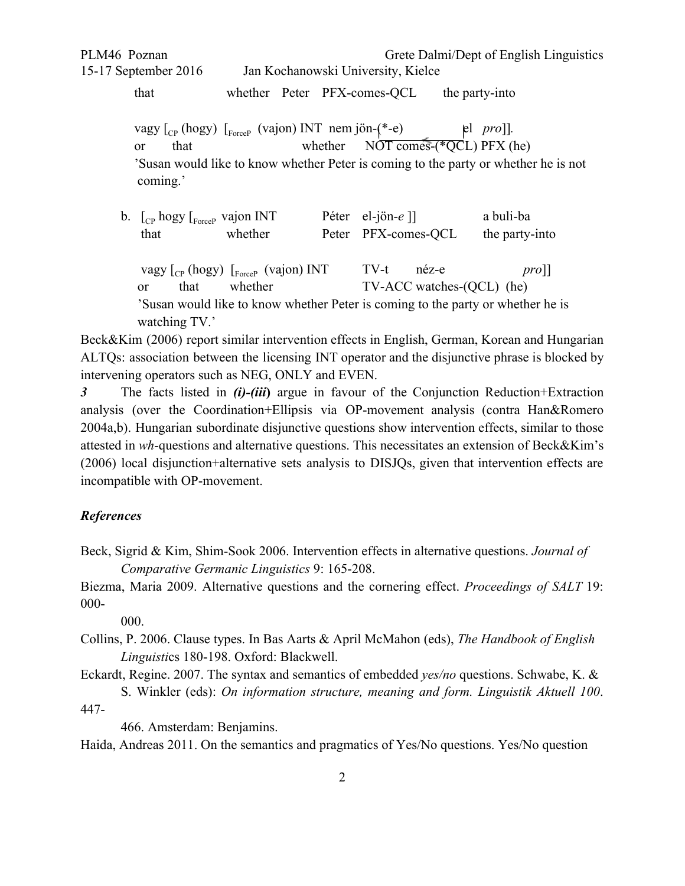PLM46 Poznan Grete Dalmi/Dept of English Linguistics

that whether Peter PFX-comes-QCL the party-into

vagy  $\lbrack_{\text{CP}}$  (hogy)  $\lbrack_{\text{ForceP}}$  (vajon) INT nem jön- $(*-e)$  el *pro*]]. or that whether  $\overline{NOT}$  comes  $(\sqrt{*}QCL)$  PFX (he) 'Susan would like to know whether Peter is coming to the party or whether he is not coming.'

b.  $\lbrack_{\text{cp}}$  hogy  $\lbrack_{\text{ForceP}}$  vajon INT Péter el-jön-e ]] a buli-ba that whether Peter PFX-comes-QCL the party-into vagy [<sub>CP</sub> (hogy) [<sub>ForceP</sub> (vajon) INT TV-t néz-e *pro*]] or that whether TV-ACC watches-(QCL) (he) 'Susan would like to know whether Peter is coming to the party or whether he is watching TV.'

Beck&Kim (2006) report similar intervention effects in English, German, Korean and Hungarian ALTQs: association between the licensing INT operator and the disjunctive phrase is blocked by intervening operators such as NEG, ONLY and EVEN.

**3** The facts listed in *(i)-(iii)* argue in favour of the Conjunction Reduction+Extraction analysis (over the Coordination+Ellipsis via OP-movement analysis (contra Han&Romero 2004a,b). Hungarian subordinate disjunctive questions show intervention effects, similar to those attested in *wh*-questions and alternative questions. This necessitates an extension of Beck&Kim's (2006) local disjunction+alternative sets analysis to DISJQs, given that intervention effects are incompatible with OP-movement.

#### *References*

Beck, Sigrid & Kim, Shim-Sook 2006. Intervention effects in alternative questions. *Journal of Comparative Germanic Linguistics* 9: 165-208.

Biezma, Maria 2009. Alternative questions and the cornering effect. *Proceedings of SALT* 19: 000

000.

Collins, P. 2006. Clause types. In Bas Aarts & April McMahon (eds), *The Handbook of English Linguistics* 180-198. Oxford: Blackwell.

Eckardt, Regine. 2007. The syntax and semantics of embedded *yes/no* questions. Schwabe, K. & S. Winkler (eds): *On information structure, meaning and form. Linguistik Aktuell 100*.

447

466. Amsterdam: Benjamins.

Haida, Andreas 2011. On the semantics and pragmatics of Yes/No questions. Yes/No question